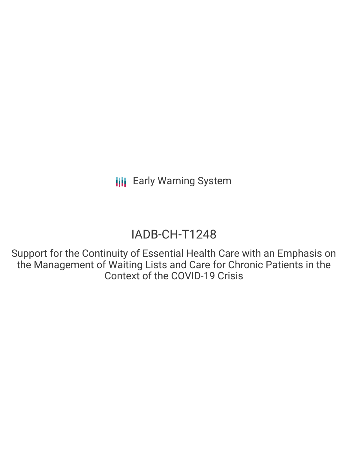# IADB-CH-T1248

Support for the Continuity of Essential Health Care with an Emphasis on the Management of Waiting Lists and Care for Chronic Patients in the Context of the COVID-19 Crisis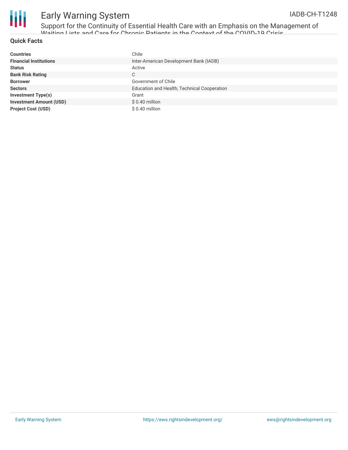

Support for the Continuity of Essential Health Care with an Emphasis on the Management of Waiting Lists and Care for Chronic Patients in the Context of the COVID-19 Crisis

#### **Quick Facts**

| <b>Countries</b>               | Chile                                       |
|--------------------------------|---------------------------------------------|
| <b>Financial Institutions</b>  | Inter-American Development Bank (IADB)      |
| <b>Status</b>                  | Active                                      |
| <b>Bank Risk Rating</b>        | C                                           |
| <b>Borrower</b>                | Government of Chile                         |
| <b>Sectors</b>                 | Education and Health, Technical Cooperation |
| <b>Investment Type(s)</b>      | Grant                                       |
| <b>Investment Amount (USD)</b> | \$ 0.40 million                             |
| <b>Project Cost (USD)</b>      | $$0.40$ million                             |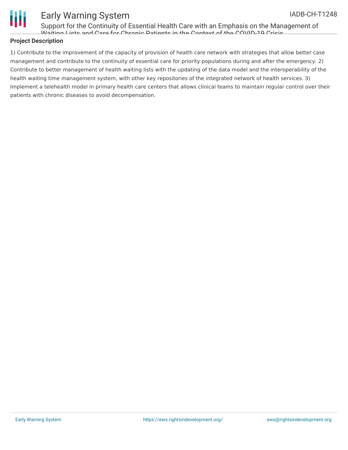

Support for the Continuity of Essential Health Care with an Emphasis on the Management of Waiting Lists and Care for Chronic Patients in the Context of the COVID-19 Crisis

### **Project Description**

1) Contribute to the improvement of the capacity of provision of health care network with strategies that allow better case management and contribute to the continuity of essential care for priority populations during and after the emergency. 2) Contribute to better management of health waiting lists with the updating of the data model and the interoperability of the health waiting time management system, with other key repositories of the integrated network of health services. 3) Implement a telehealth model in primary health care centers that allows clinical teams to maintain regular control over their patients with chronic diseases to avoid decompensation.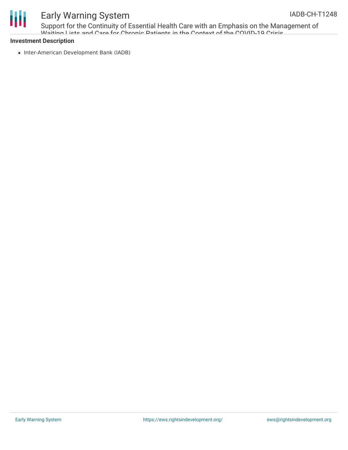

Support for the Continuity of Essential Health Care with an Emphasis on the Management of Waiting Lists and Care for Chronic Patients in the Context of the COVID-19 Crisis

### **Investment Description**

• Inter-American Development Bank (IADB)